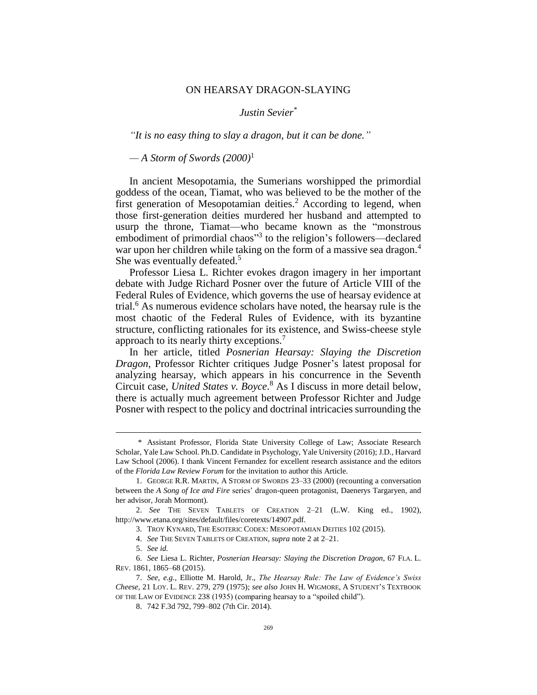## ON HEARSAY DRAGON-SLAYING

## <span id="page-0-0"></span>*Justin Sevier\**

*"It is no easy thing to slay a dragon, but it can be done."*

*— A Storm of Swords (2000)*<sup>1</sup>

In ancient Mesopotamia, the Sumerians worshipped the primordial goddess of the ocean, Tiamat, who was believed to be the mother of the first generation of Mesopotamian deities.<sup>2</sup> According to legend, when those first-generation deities murdered her husband and attempted to usurp the throne, Tiamat—who became known as the "monstrous embodiment of primordial chaos"<sup>3</sup> to the religion's followers—declared war upon her children while taking on the form of a massive sea dragon.<sup>4</sup> She was eventually defeated.<sup>5</sup>

<span id="page-0-1"></span>Professor Liesa L. Richter evokes dragon imagery in her important debate with Judge Richard Posner over the future of Article VIII of the Federal Rules of Evidence, which governs the use of hearsay evidence at trial.<sup>6</sup> As numerous evidence scholars have noted, the hearsay rule is the most chaotic of the Federal Rules of Evidence, with its byzantine structure, conflicting rationales for its existence, and Swiss-cheese style approach to its nearly thirty exceptions.<sup>7</sup>

In her article, titled *Posnerian Hearsay: Slaying the Discretion Dragon*, Professor Richter critiques Judge Posner's latest proposal for analyzing hearsay, which appears in his concurrence in the Seventh Circuit case, *United States v. Boyce*. <sup>8</sup> As I discuss in more detail below, there is actually much agreement between Professor Richter and Judge Posner with respect to the policy and doctrinal intricacies surrounding the

<sup>\*</sup> Assistant Professor, Florida State University College of Law; Associate Research Scholar, Yale Law School. Ph.D. Candidate in Psychology, Yale University (2016); J.D., Harvard Law School (2006). I thank Vincent Fernandez for excellent research assistance and the editors of the *Florida Law Review Forum* for the invitation to author this Article.

<sup>1.</sup> GEORGE R.R. MARTIN, A STORM OF SWORDS 23–33 (2000) (recounting a conversation between the *A Song of Ice and Fire* series' dragon-queen protagonist, Daenerys Targaryen, and her advisor, Jorah Mormont).

<sup>2.</sup> *See* THE SEVEN TABLETS OF CREATION 2–21 (L.W. King ed., 1902), http://www.etana.org/sites/default/files/coretexts/14907.pdf.

<sup>3.</sup> TROY KYNARD, THE ESOTERIC CODEX: MESOPOTAMIAN DEITIES 102 (2015).

<sup>4.</sup> *See* THE SEVEN TABLETS OF CREATION, *supra* not[e 2](#page-0-0) at 2–21.

<sup>5.</sup> *See id.*

<sup>6.</sup> *See* Liesa L. Richter, *Posnerian Hearsay: Slaying the Discretion Dragon*, 67 FLA. L. REV. 1861, 1865–68 (2015).

<sup>7.</sup> *See, e.g.*, Elliotte M. Harold, Jr., *The Hearsay Rule: The Law of Evidence's Swiss Cheese*, 21 LOY. L. REV. 279, 279 (1975); *see also* JOHN H. WIGMORE, A STUDENT'S TEXTBOOK OF THE LAW OF EVIDENCE 238 (1935) (comparing hearsay to a "spoiled child").

<sup>8.</sup> 742 F.3d 792, 799–802 (7th Cir. 2014).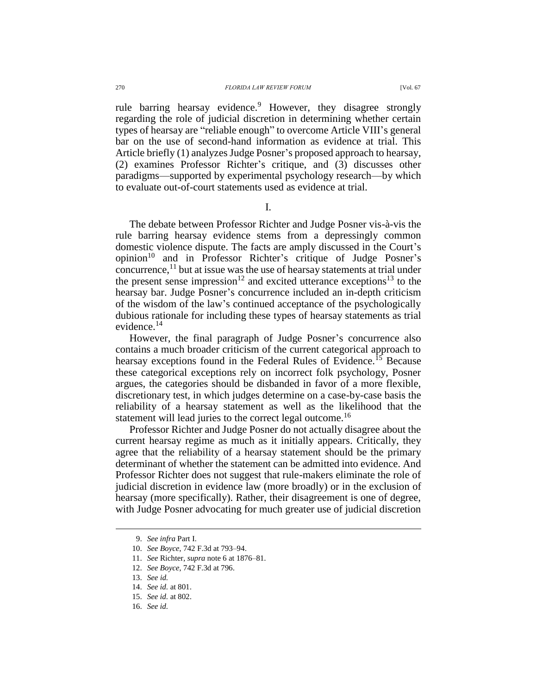rule barring hearsay evidence.<sup>9</sup> However, they disagree strongly regarding the role of judicial discretion in determining whether certain types of hearsay are "reliable enough" to overcome Article VIII's general bar on the use of second-hand information as evidence at trial. This

Article briefly (1) analyzes Judge Posner's proposed approach to hearsay, (2) examines Professor Richter's critique, and (3) discusses other paradigms—supported by experimental psychology research—by which to evaluate out-of-court statements used as evidence at trial.

I.

The debate between Professor Richter and Judge Posner vis-à-vis the rule barring hearsay evidence stems from a depressingly common domestic violence dispute. The facts are amply discussed in the Court's opinion<sup>10</sup> and in Professor Richter's critique of Judge Posner's concurrence,<sup>11</sup> but at issue was the use of hearsay statements at trial under the present sense impression<sup>12</sup> and excited utterance exceptions<sup>13</sup> to the hearsay bar. Judge Posner's concurrence included an in-depth criticism of the wisdom of the law's continued acceptance of the psychologically dubious rationale for including these types of hearsay statements as trial evidence. $^{14}$ 

However, the final paragraph of Judge Posner's concurrence also contains a much broader criticism of the current categorical approach to hearsay exceptions found in the Federal Rules of Evidence.<sup>15</sup> Because these categorical exceptions rely on incorrect folk psychology, Posner argues, the categories should be disbanded in favor of a more flexible, discretionary test, in which judges determine on a case-by-case basis the reliability of a hearsay statement as well as the likelihood that the statement will lead juries to the correct legal outcome.<sup>16</sup>

Professor Richter and Judge Posner do not actually disagree about the current hearsay regime as much as it initially appears. Critically, they agree that the reliability of a hearsay statement should be the primary determinant of whether the statement can be admitted into evidence. And Professor Richter does not suggest that rule-makers eliminate the role of judicial discretion in evidence law (more broadly) or in the exclusion of hearsay (more specifically). Rather, their disagreement is one of degree, with Judge Posner advocating for much greater use of judicial discretion

<sup>9.</sup> *See infra* Part I.

<sup>10.</sup> *See Boyce*, 742 F.3d at 793–94.

<sup>11.</sup> *See* Richter, *supra* note [6](#page-0-1) at 1876–81.

<sup>12.</sup> *See Boyce*, 742 F.3d at 796.

<sup>13.</sup> *See id.*

<sup>14.</sup> *See id.* at 801.

<sup>15.</sup> *See id.* at 802.

<sup>16.</sup> *See id.*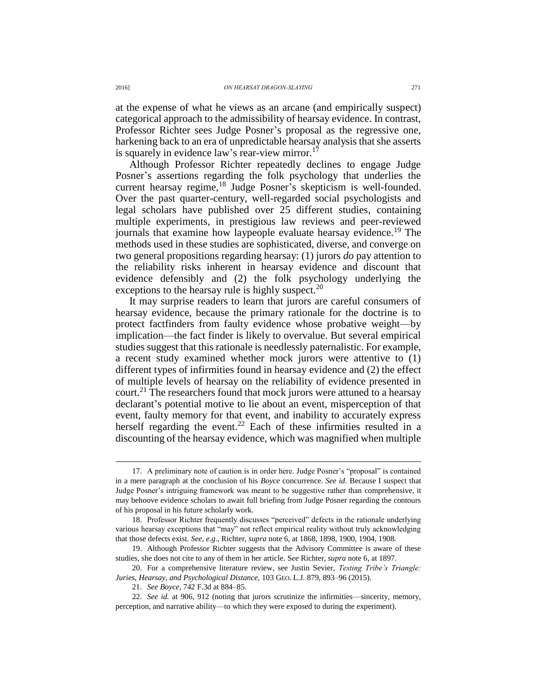at the expense of what he views as an arcane (and empirically suspect) categorical approach to the admissibility of hearsay evidence. In contrast, Professor Richter sees Judge Posner's proposal as the regressive one, harkening back to an era of unpredictable hearsay analysis that she asserts is squarely in evidence law's rear-view mirror.<sup>17</sup>

Although Professor Richter repeatedly declines to engage Judge Posner's assertions regarding the folk psychology that underlies the current hearsay regime,<sup>18</sup> Judge Posner's skepticism is well-founded. Over the past quarter-century, well-regarded social psychologists and legal scholars have published over 25 different studies, containing multiple experiments, in prestigious law reviews and peer-reviewed journals that examine how laypeople evaluate hearsay evidence.<sup>19</sup> The methods used in these studies are sophisticated, diverse, and converge on two general propositions regarding hearsay: (1) jurors *do* pay attention to the reliability risks inherent in hearsay evidence and discount that evidence defensibly and (2) the folk psychology underlying the exceptions to the hearsay rule is highly suspect.<sup>20</sup>

It may surprise readers to learn that jurors are careful consumers of hearsay evidence, because the primary rationale for the doctrine is to protect factfinders from faulty evidence whose probative weight—by implication—the fact finder is likely to overvalue. But several empirical studies suggest that this rationale is needlessly paternalistic. For example, a recent study examined whether mock jurors were attentive to (1) different types of infirmities found in hearsay evidence and (2) the effect of multiple levels of hearsay on the reliability of evidence presented in court.<sup>21</sup> The researchers found that mock jurors were attuned to a hearsay declarant's potential motive to lie about an event, misperception of that event, faulty memory for that event, and inability to accurately express herself regarding the event.<sup>22</sup> Each of these infirmities resulted in a discounting of the hearsay evidence, which was magnified when multiple

<sup>17.</sup> A preliminary note of caution is in order here. Judge Posner's "proposal" is contained in a mere paragraph at the conclusion of his *Boyce* concurrence. *See id.* Because I suspect that Judge Posner's intriguing framework was meant to be suggestive rather than comprehensive, it may behoove evidence scholars to await full briefing from Judge Posner regarding the contours of his proposal in his future scholarly work.

<sup>18.</sup> Professor Richter frequently discusses "perceived" defects in the rationale underlying various hearsay exceptions that "may" not reflect empirical reality without truly acknowledging that those defects exist. *See, e.g*., Richter, *supra* note [6,](#page-0-1) at 1868, 1898, 1900, 1904, 1908.

<sup>19.</sup> Although Professor Richter suggests that the Advisory Committee is aware of these studies, she does not cite to any of them in her article. S*ee* Richter, *supra* not[e 6,](#page-0-1) at 1897.

<sup>20.</sup> For a comprehensive literature review, see Justin Sevier, *Testing Tribe's Triangle: Juries, Hearsay, and Psychological Distance*, 103 GEO. L.J. 879, 893–96 (2015).

<sup>21.</sup> *See Boyce*, 742 F.3d at 884–85.

<sup>22.</sup> *See id.* at 906, 912 (noting that jurors scrutinize the infirmities—sincerity, memory, perception, and narrative ability—to which they were exposed to during the experiment).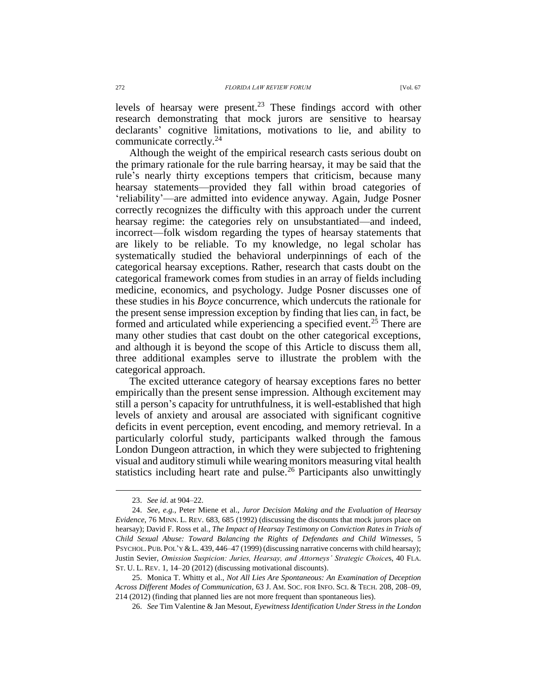levels of hearsay were present. <sup>23</sup> These findings accord with other research demonstrating that mock jurors are sensitive to hearsay declarants' cognitive limitations, motivations to lie, and ability to communicate correctly.<sup>24</sup>

<span id="page-3-1"></span>Although the weight of the empirical research casts serious doubt on the primary rationale for the rule barring hearsay, it may be said that the rule's nearly thirty exceptions tempers that criticism, because many hearsay statements—provided they fall within broad categories of 'reliability'—are admitted into evidence anyway. Again, Judge Posner correctly recognizes the difficulty with this approach under the current hearsay regime: the categories rely on unsubstantiated—and indeed, incorrect—folk wisdom regarding the types of hearsay statements that are likely to be reliable. To my knowledge, no legal scholar has systematically studied the behavioral underpinnings of each of the categorical hearsay exceptions. Rather, research that casts doubt on the categorical framework comes from studies in an array of fields including medicine, economics, and psychology. Judge Posner discusses one of these studies in his *Boyce* concurrence, which undercuts the rationale for the present sense impression exception by finding that lies can, in fact, be formed and articulated while experiencing a specified event.<sup>25</sup> There are many other studies that cast doubt on the other categorical exceptions, and although it is beyond the scope of this Article to discuss them all, three additional examples serve to illustrate the problem with the categorical approach.

<span id="page-3-0"></span>The excited utterance category of hearsay exceptions fares no better empirically than the present sense impression. Although excitement may still a person's capacity for untruthfulness, it is well-established that high levels of anxiety and arousal are associated with significant cognitive deficits in event perception, event encoding, and memory retrieval. In a particularly colorful study, participants walked through the famous London Dungeon attraction, in which they were subjected to frightening visual and auditory stimuli while wearing monitors measuring vital health statistics including heart rate and pulse.<sup>26</sup> Participants also unwittingly

<sup>23.</sup> *See id*. at 904–22.

<sup>24.</sup> *See, e.g.*, Peter Miene et al., *Juror Decision Making and the Evaluation of Hearsay Evidence*, 76 MINN. L. REV. 683, 685 (1992) (discussing the discounts that mock jurors place on hearsay); David F. Ross et al., *The Impact of Hearsay Testimony on Conviction Rates in Trials of Child Sexual Abuse: Toward Balancing the Rights of Defendants and Child Witnesses*, 5 PSYCHOL. PUB. POL'Y & L. 439, 446–47 (1999) (discussing narrative concerns with child hearsay); Justin Sevier, *Omission Suspicion: Juries, Hearsay, and Attorneys' Strategic Choice*s, 40 FLA. ST. U. L. REV. 1, 14–20 (2012) (discussing motivational discounts).

<sup>25.</sup> Monica T. Whitty et al., *Not All Lies Are Spontaneous: An Examination of Deception Across Different Modes of Communication*, 63 J. AM. SOC. FOR INFO. SCI. & TECH. 208, 208–09, 214 (2012) (finding that planned lies are not more frequent than spontaneous lies).

<sup>26.</sup> *See* Tim Valentine & Jan Mesout, *Eyewitness Identification Under Stress in the London*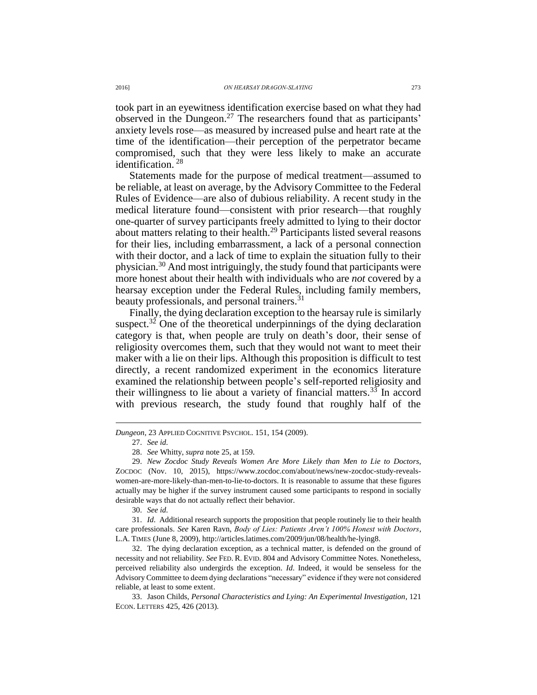took part in an eyewitness identification exercise based on what they had observed in the Dungeon.<sup>27</sup> The researchers found that as participants' anxiety levels rose—as measured by increased pulse and heart rate at the time of the identification—their perception of the perpetrator became compromised, such that they were less likely to make an accurate identification. <sup>28</sup>

Statements made for the purpose of medical treatment—assumed to be reliable, at least on average, by the Advisory Committee to the Federal Rules of Evidence—are also of dubious reliability. A recent study in the medical literature found—consistent with prior research—that roughly one-quarter of survey participants freely admitted to lying to their doctor about matters relating to their health.<sup>29</sup> Participants listed several reasons for their lies, including embarrassment, a lack of a personal connection with their doctor, and a lack of time to explain the situation fully to their physician.<sup>30</sup> And most intriguingly, the study found that participants were more honest about their health with individuals who are *not* covered by a hearsay exception under the Federal Rules, including family members, beauty professionals, and personal trainers.<sup>31</sup>

Finally, the dying declaration exception to the hearsay rule is similarly suspect. $32$  One of the theoretical underpinnings of the dying declaration category is that, when people are truly on death's door, their sense of religiosity overcomes them, such that they would not want to meet their maker with a lie on their lips. Although this proposition is difficult to test directly, a recent randomized experiment in the economics literature examined the relationship between people's self-reported religiosity and their willingness to lie about a variety of financial matters.<sup>33</sup> In accord with previous research, the study found that roughly half of the

 $\overline{a}$ 

30. *See id.*

31. *Id*. Additional research supports the proposition that people routinely lie to their health care professionals. *See* Karen Ravn, *Body of Lies: Patients Aren't 100% Honest with Doctors*, L.A. TIMES (June 8, 2009), http://articles.latimes.com/2009/jun/08/health/he-lying8.

32. The dying declaration exception, as a technical matter, is defended on the ground of necessity and not reliability. *See* FED. R. EVID. 804 and Advisory Committee Notes. Nonetheless, perceived reliability also undergirds the exception. *Id*. Indeed, it would be senseless for the Advisory Committee to deem dying declarations "necessary" evidence if they were not considered reliable, at least to some extent.

33. Jason Childs, *Personal Characteristics and Lying: An Experimental Investigation*, 121 ECON. LETTERS 425, 426 (2013).

*Dungeon*, 23 APPLIED COGNITIVE PSYCHOL. 151, 154 (2009).

<sup>27.</sup> *See id.*

<sup>28.</sup> *See* Whitty, *supra* not[e 25,](#page-3-0) at 159.

<sup>29.</sup> *New Zocdoc Study Reveals Women Are More Likely than Men to Lie to Doctors*, ZOCDOC (Nov. 10, 2015), https://www.zocdoc.com/about/news/new-zocdoc-study-revealswomen-are-more-likely-than-men-to-lie-to-doctors. It is reasonable to assume that these figures actually may be higher if the survey instrument caused some participants to respond in socially desirable ways that do not actually reflect their behavior.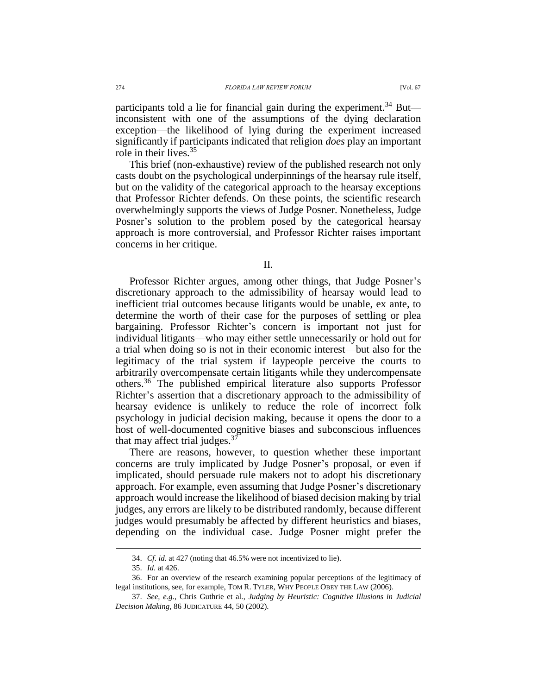participants told a lie for financial gain during the experiment.<sup>34</sup> But inconsistent with one of the assumptions of the dying declaration exception—the likelihood of lying during the experiment increased significantly if participants indicated that religion *does* play an important role in their lives. 35

This brief (non-exhaustive) review of the published research not only casts doubt on the psychological underpinnings of the hearsay rule itself, but on the validity of the categorical approach to the hearsay exceptions that Professor Richter defends. On these points, the scientific research overwhelmingly supports the views of Judge Posner. Nonetheless, Judge Posner's solution to the problem posed by the categorical hearsay approach is more controversial, and Professor Richter raises important concerns in her critique.

II.

Professor Richter argues, among other things, that Judge Posner's discretionary approach to the admissibility of hearsay would lead to inefficient trial outcomes because litigants would be unable, ex ante, to determine the worth of their case for the purposes of settling or plea bargaining. Professor Richter's concern is important not just for individual litigants—who may either settle unnecessarily or hold out for a trial when doing so is not in their economic interest—but also for the legitimacy of the trial system if laypeople perceive the courts to arbitrarily overcompensate certain litigants while they undercompensate others.<sup>36</sup> The published empirical literature also supports Professor Richter's assertion that a discretionary approach to the admissibility of hearsay evidence is unlikely to reduce the role of incorrect folk psychology in judicial decision making, because it opens the door to a host of well-documented cognitive biases and subconscious influences that may affect trial judges.<sup>37</sup>

There are reasons, however, to question whether these important concerns are truly implicated by Judge Posner's proposal, or even if implicated, should persuade rule makers not to adopt his discretionary approach. For example, even assuming that Judge Posner's discretionary approach would increase the likelihood of biased decision making by trial judges, any errors are likely to be distributed randomly, because different judges would presumably be affected by different heuristics and biases, depending on the individual case. Judge Posner might prefer the

<sup>34.</sup> *Cf*. *id.* at 427 (noting that 46.5% were not incentivized to lie).

<sup>35.</sup> *Id*. at 426.

<sup>36.</sup> For an overview of the research examining popular perceptions of the legitimacy of legal institutions, see, for example, TOM R. TYLER, WHY PEOPLE OBEY THE LAW (2006).

<sup>37.</sup> *See, e.g.*, Chris Guthrie et al., *Judging by Heuristic: Cognitive Illusions in Judicial Decision Making*, 86 JUDICATURE 44, 50 (2002).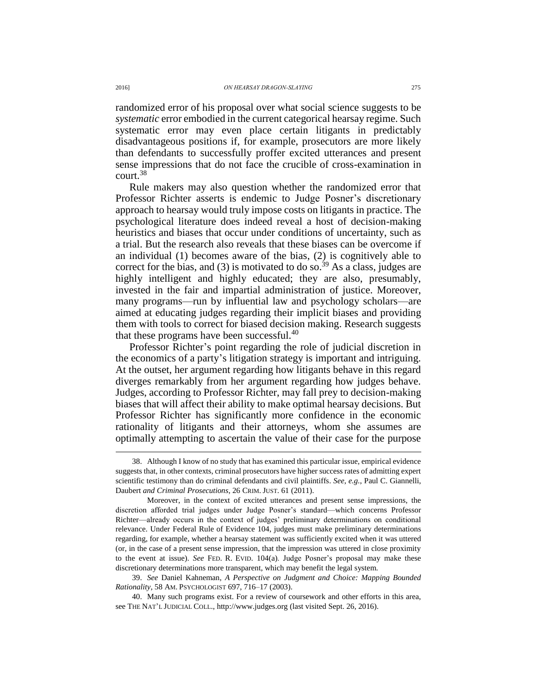randomized error of his proposal over what social science suggests to be *systematic* error embodied in the current categorical hearsay regime. Such systematic error may even place certain litigants in predictably disadvantageous positions if, for example, prosecutors are more likely than defendants to successfully proffer excited utterances and present sense impressions that do not face the crucible of cross-examination in court. 38

Rule makers may also question whether the randomized error that Professor Richter asserts is endemic to Judge Posner's discretionary approach to hearsay would truly impose costs on litigants in practice. The psychological literature does indeed reveal a host of decision-making heuristics and biases that occur under conditions of uncertainty, such as a trial. But the research also reveals that these biases can be overcome if an individual (1) becomes aware of the bias, (2) is cognitively able to correct for the bias, and (3) is motivated to do so.<sup>39</sup> As a class, judges are highly intelligent and highly educated; they are also, presumably, invested in the fair and impartial administration of justice. Moreover, many programs—run by influential law and psychology scholars—are aimed at educating judges regarding their implicit biases and providing them with tools to correct for biased decision making. Research suggests that these programs have been successful.<sup>40</sup>

Professor Richter's point regarding the role of judicial discretion in the economics of a party's litigation strategy is important and intriguing. At the outset, her argument regarding how litigants behave in this regard diverges remarkably from her argument regarding how judges behave. Judges, according to Professor Richter, may fall prey to decision-making biases that will affect their ability to make optimal hearsay decisions. But Professor Richter has significantly more confidence in the economic rationality of litigants and their attorneys, whom she assumes are optimally attempting to ascertain the value of their case for the purpose

<sup>38.</sup> Although I know of no study that has examined this particular issue, empirical evidence suggests that, in other contexts, criminal prosecutors have higher success rates of admitting expert scientific testimony than do criminal defendants and civil plaintiffs. *See*, *e.g.*, Paul C. Giannelli, Daubert *and Criminal Prosecutions*, 26 CRIM. JUST. 61 (2011).

Moreover, in the context of excited utterances and present sense impressions, the discretion afforded trial judges under Judge Posner's standard—which concerns Professor Richter—already occurs in the context of judges' preliminary determinations on conditional relevance. Under Federal Rule of Evidence 104, judges must make preliminary determinations regarding, for example, whether a hearsay statement was sufficiently excited when it was uttered (or, in the case of a present sense impression, that the impression was uttered in close proximity to the event at issue). *See* FED. R. EVID. 104(a). Judge Posner's proposal may make these discretionary determinations more transparent, which may benefit the legal system.

<sup>39.</sup> *See* Daniel Kahneman, *A Perspective on Judgment and Choice: Mapping Bounded Rationality*, 58 AM. PSYCHOLOGIST 697, 716–17 (2003).

<sup>40.</sup> Many such programs exist. For a review of coursework and other efforts in this area, see THE NAT'L JUDICIAL COLL., http://www.judges.org (last visited Sept. 26, 2016).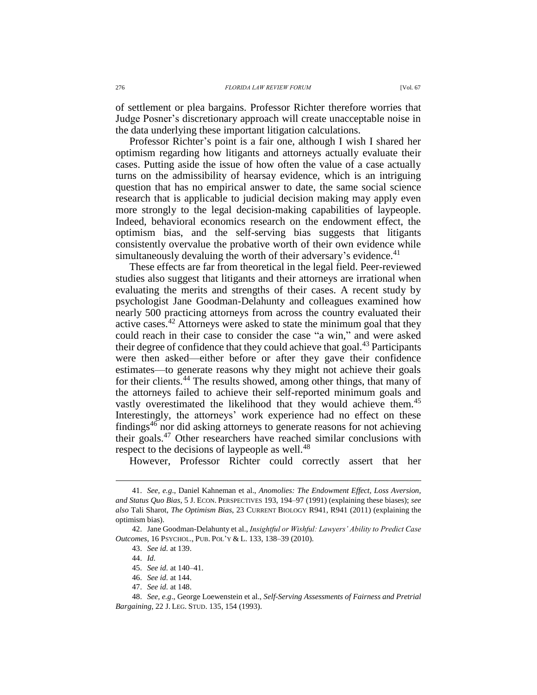of settlement or plea bargains. Professor Richter therefore worries that Judge Posner's discretionary approach will create unacceptable noise in the data underlying these important litigation calculations.

Professor Richter's point is a fair one, although I wish I shared her optimism regarding how litigants and attorneys actually evaluate their cases. Putting aside the issue of how often the value of a case actually turns on the admissibility of hearsay evidence, which is an intriguing question that has no empirical answer to date, the same social science research that is applicable to judicial decision making may apply even more strongly to the legal decision-making capabilities of laypeople. Indeed, behavioral economics research on the endowment effect, the optimism bias, and the self-serving bias suggests that litigants consistently overvalue the probative worth of their own evidence while simultaneously devaluing the worth of their adversary's evidence.<sup>41</sup>

These effects are far from theoretical in the legal field. Peer-reviewed studies also suggest that litigants and their attorneys are irrational when evaluating the merits and strengths of their cases. A recent study by psychologist Jane Goodman-Delahunty and colleagues examined how nearly 500 practicing attorneys from across the country evaluated their active cases.<sup>42</sup> Attorneys were asked to state the minimum goal that they could reach in their case to consider the case "a win," and were asked their degree of confidence that they could achieve that goal.<sup>43</sup> Participants were then asked—either before or after they gave their confidence estimates—to generate reasons why they might not achieve their goals for their clients.<sup>44</sup> The results showed, among other things, that many of the attorneys failed to achieve their self-reported minimum goals and vastly overestimated the likelihood that they would achieve them.<sup>45</sup> Interestingly, the attorneys' work experience had no effect on these findings<sup>46</sup> nor did asking attorneys to generate reasons for not achieving their goals.<sup>47</sup> Other researchers have reached similar conclusions with respect to the decisions of laypeople as well.<sup>48</sup>

However, Professor Richter could correctly assert that her

<sup>41.</sup> *See, e.g*., Daniel Kahneman et al., *Anomolies: The Endowment Effect, Loss Aversion, and Status Quo Bias*, 5 J. ECON. PERSPECTIVES 193, 194–97 (1991) (explaining these biases); *see also* Tali Sharot, *The Optimism Bias*, 23 CURRENT BIOLOGY R941, R941 (2011) (explaining the optimism bias).

<sup>42.</sup> Jane Goodman-Delahunty et al., *Insightful or Wishful: Lawyers' Ability to Predict Case Outcomes*, 16 PSYCHOL., PUB. POL'Y & L. 133, 138–39 (2010).

<sup>43.</sup> *See id.* at 139.

<sup>44.</sup> *Id.*

<sup>45.</sup> *See id.* at 140–41.

<sup>46.</sup> *See id.* at 144.

<sup>47.</sup> *See id.* at 148.

<sup>48.</sup> *See, e.g*., George Loewenstein et al., *Self-Serving Assessments of Fairness and Pretrial Bargaining*, 22 J. LEG. STUD. 135, 154 (1993).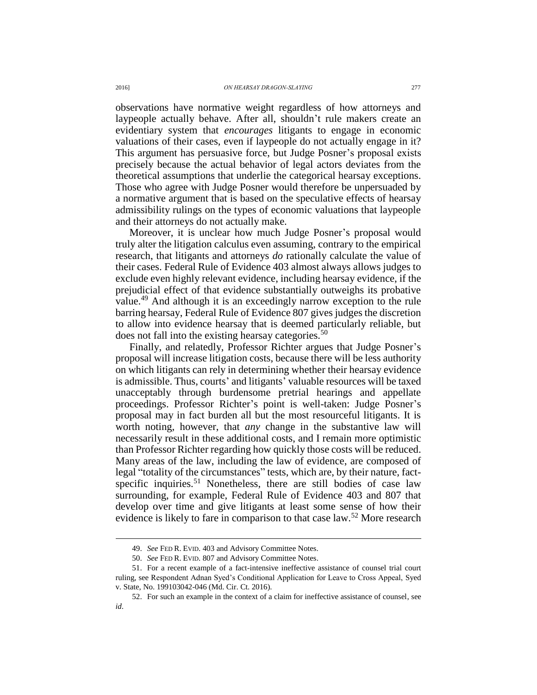observations have normative weight regardless of how attorneys and laypeople actually behave. After all, shouldn't rule makers create an evidentiary system that *encourages* litigants to engage in economic valuations of their cases, even if laypeople do not actually engage in it? This argument has persuasive force, but Judge Posner's proposal exists precisely because the actual behavior of legal actors deviates from the theoretical assumptions that underlie the categorical hearsay exceptions. Those who agree with Judge Posner would therefore be unpersuaded by a normative argument that is based on the speculative effects of hearsay admissibility rulings on the types of economic valuations that laypeople and their attorneys do not actually make.

Moreover, it is unclear how much Judge Posner's proposal would truly alter the litigation calculus even assuming, contrary to the empirical research, that litigants and attorneys *do* rationally calculate the value of their cases. Federal Rule of Evidence 403 almost always allows judges to exclude even highly relevant evidence, including hearsay evidence, if the prejudicial effect of that evidence substantially outweighs its probative value.<sup>49</sup> And although it is an exceedingly narrow exception to the rule barring hearsay, Federal Rule of Evidence 807 gives judges the discretion to allow into evidence hearsay that is deemed particularly reliable, but does not fall into the existing hearsay categories.<sup>50</sup>

Finally, and relatedly, Professor Richter argues that Judge Posner's proposal will increase litigation costs, because there will be less authority on which litigants can rely in determining whether their hearsay evidence is admissible. Thus, courts' and litigants' valuable resources will be taxed unacceptably through burdensome pretrial hearings and appellate proceedings. Professor Richter's point is well-taken: Judge Posner's proposal may in fact burden all but the most resourceful litigants. It is worth noting, however, that *any* change in the substantive law will necessarily result in these additional costs, and I remain more optimistic than Professor Richter regarding how quickly those costs will be reduced. Many areas of the law, including the law of evidence, are composed of legal "totality of the circumstances" tests, which are, by their nature, factspecific inquiries.<sup>51</sup> Nonetheless, there are still bodies of case law surrounding, for example, Federal Rule of Evidence 403 and 807 that develop over time and give litigants at least some sense of how their evidence is likely to fare in comparison to that case law.<sup>52</sup> More research

<sup>49.</sup> *See* FED R. EVID. 403 and Advisory Committee Notes.

<sup>50.</sup> *See* FED R. EVID. 807 and Advisory Committee Notes.

<sup>51.</sup> For a recent example of a fact-intensive ineffective assistance of counsel trial court ruling, see Respondent Adnan Syed's Conditional Application for Leave to Cross Appeal, Syed v. State, No. 199103042-046 (Md. Cir. Ct. 2016).

<sup>52.</sup> For such an example in the context of a claim for ineffective assistance of counsel, see *id*.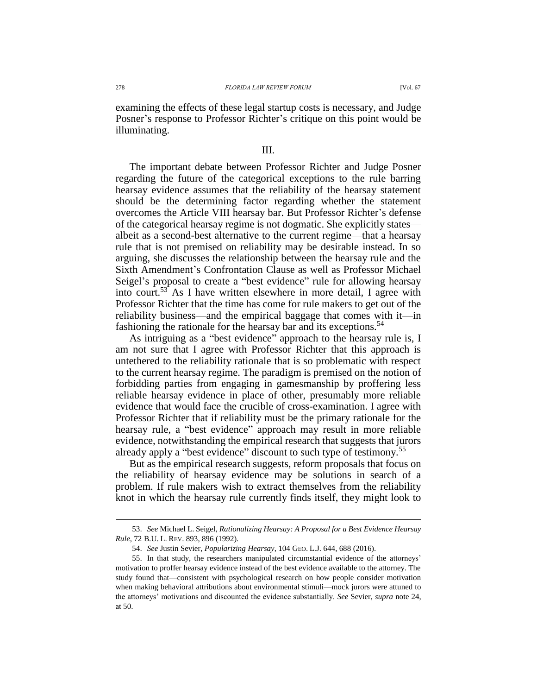examining the effects of these legal startup costs is necessary, and Judge Posner's response to Professor Richter's critique on this point would be illuminating.

## III.

The important debate between Professor Richter and Judge Posner regarding the future of the categorical exceptions to the rule barring hearsay evidence assumes that the reliability of the hearsay statement should be the determining factor regarding whether the statement overcomes the Article VIII hearsay bar. But Professor Richter's defense of the categorical hearsay regime is not dogmatic. She explicitly states albeit as a second-best alternative to the current regime—that a hearsay rule that is not premised on reliability may be desirable instead. In so arguing, she discusses the relationship between the hearsay rule and the Sixth Amendment's Confrontation Clause as well as Professor Michael Seigel's proposal to create a "best evidence" rule for allowing hearsay into court.<sup>53</sup> As I have written elsewhere in more detail, I agree with Professor Richter that the time has come for rule makers to get out of the reliability business—and the empirical baggage that comes with it—in fashioning the rationale for the hearsay bar and its exceptions.<sup>54</sup>

As intriguing as a "best evidence" approach to the hearsay rule is, I am not sure that I agree with Professor Richter that this approach is untethered to the reliability rationale that is so problematic with respect to the current hearsay regime. The paradigm is premised on the notion of forbidding parties from engaging in gamesmanship by proffering less reliable hearsay evidence in place of other, presumably more reliable evidence that would face the crucible of cross-examination. I agree with Professor Richter that if reliability must be the primary rationale for the hearsay rule, a "best evidence" approach may result in more reliable evidence, notwithstanding the empirical research that suggests that jurors already apply a "best evidence" discount to such type of testimony.<sup>55</sup>

But as the empirical research suggests, reform proposals that focus on the reliability of hearsay evidence may be solutions in search of a problem. If rule makers wish to extract themselves from the reliability knot in which the hearsay rule currently finds itself, they might look to

<sup>53.</sup> *See* Michael L. Seigel, *Rationalizing Hearsay: A Proposal for a Best Evidence Hearsay Rule*, 72 B.U. L. REV. 893, 896 (1992).

<sup>54.</sup> *See* Justin Sevier, *Popularizing Hearsay*, 104 GEO. L.J. 644, 688 (2016).

<sup>55.</sup> In that study, the researchers manipulated circumstantial evidence of the attorneys' motivation to proffer hearsay evidence instead of the best evidence available to the attorney. The study found that—consistent with psychological research on how people consider motivation when making behavioral attributions about environmental stimuli—mock jurors were attuned to the attorneys' motivations and discounted the evidence substantially. *See* Sevier, *supra* note [24,](#page-3-1) at 50.